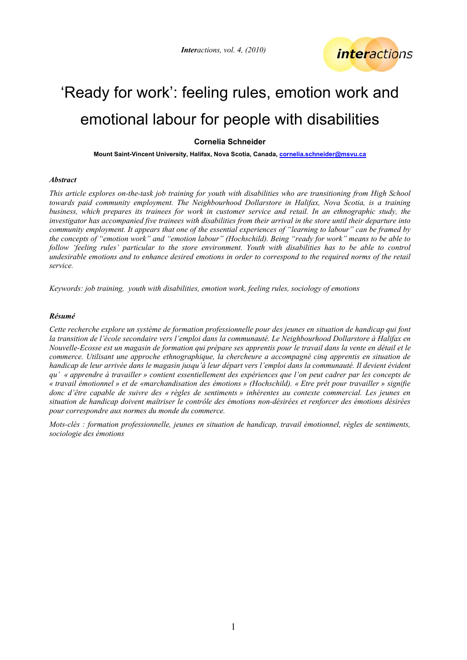*Interactions, vol. 4, (2010)* 



# 'Ready for work': feeling rules, emotion work and emotional labour for people with disabilities

# **Cornelia Schneider**

**Mount Saint-Vincent University, Halifax, Nova Scotia, Canada, [cornelia.schneider@msvu.ca](mailto:cornelia.schneider@msvu.ca)** 

### *Abstract*

*This article explores on-the-task job training for youth with disabilities who are transitioning from High School towards paid community employment. The Neighbourhood Dollarstore in Halifax, Nova Scotia, is a training business, which prepares its trainees for work in customer service and retail. In an ethnographic study, the investigator has accompanied five trainees with disabilities from their arrival in the store until their departure into community employment. It appears that one of the essential experiences of "learning to labour" can be framed by the concepts of "emotion work" and "emotion labour" (Hochschild). Being "ready for work" means to be able to*  follow 'feeling rules' particular to the store environment. Youth with disabilities has to be able to control *undesirable emotions and to enhance desired emotions in order to correspond to the required norms of the retail service.* 

*Keywords: job training, youth with disabilities, emotion work, feeling rules, sociology of emotions* 

### *Résumé*

*Cette recherche explore un système de formation professionnelle pour des jeunes en situation de handicap qui font*  la transition de l'école secondaire vers l'emploi dans la communauté. Le Neighbourhood Dollarstore à Halifax en *Nouvelle-Ecosse est un magasin de formation qui prépare ses apprentis pour le travail dans la vente en détail et le commerce. Utilisant une approche ethnographique, la chercheure a accompagné cinq apprentis en situation de handicap de leur arrivée dans le magasin jusqu'à leur départ vers l'emploi dans la communauté. Il devient évident qu' « apprendre à travailler » contient essentiellement des expériences que l'on peut cadrer par les concepts de « travail émotionnel » et de «marchandisation des émotions » (Hochschild). « Etre prêt pour travailler » signifie donc d'être capable de suivre des « règles de sentiments » inhérentes au contexte commercial. Les jeunes en situation de handicap doivent maîtriser le contrôle des émotions non-désirées et renforcer des émotions désirées pour correspondre aux normes du monde du commerce.* 

*Mots-clés : formation professionnelle, jeunes en situation de handicap, travail émotionnel, règles de sentiments, sociologie des émotions*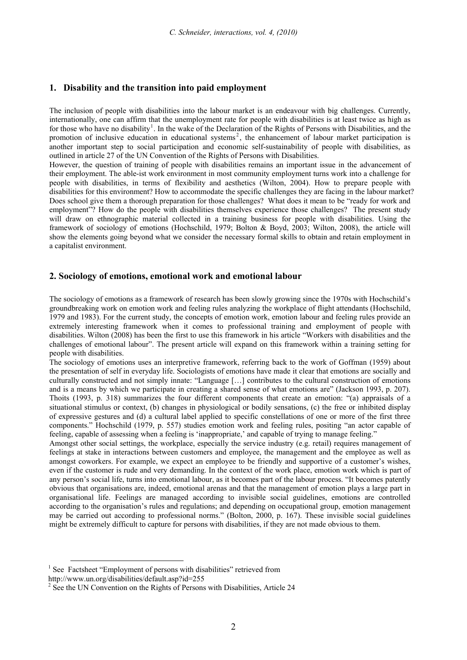# **1. Disability and the transition into paid employment**

The inclusion of people with disabilities into the labour market is an endeavour with big challenges. Currently, internationally, one can affirm that the unemployment rate for people with disabilities is at least twice as high as for those who have no disability<sup>[1](#page-1-0)</sup>. In the wake of the Declaration of the Rights of Persons with Disabilities, and the promotion of inclusive education in educational systems<sup>[2](#page-1-1)</sup>, the enhancement of labour market participation is another important step to social participation and economic self-sustainability of people with disabilities, as outlined in article 27 of the UN Convention of the Rights of Persons with Disabilities.

However, the question of training of people with disabilities remains an important issue in the advancement of their employment. The able-ist work environment in most community employment turns work into a challenge for people with disabilities, in terms of flexibility and aesthetics (Wilton, 2004). How to prepare people with disabilities for this environment? How to accommodate the specific challenges they are facing in the labour market? Does school give them a thorough preparation for those challenges? What does it mean to be "ready for work and employment"? How do the people with disabilities themselves experience those challenges? The present study will draw on ethnographic material collected in a training business for people with disabilities. Using the framework of sociology of emotions (Hochschild, 1979; Bolton & Boyd, 2003; Wilton, 2008), the article will show the elements going beyond what we consider the necessary formal skills to obtain and retain employment in a capitalist environment.

# **2. Sociology of emotions, emotional work and emotional labour**

The sociology of emotions as a framework of research has been slowly growing since the 1970s with Hochschild's groundbreaking work on emotion work and feeling rules analyzing the workplace of flight attendants (Hochschild, 1979 and 1983). For the current study, the concepts of emotion work, emotion labour and feeling rules provide an extremely interesting framework when it comes to professional training and employment of people with disabilities. Wilton (2008) has been the first to use this framework in his article "Workers with disabilities and the challenges of emotional labour". The present article will expand on this framework within a training setting for people with disabilities.

The sociology of emotions uses an interpretive framework, referring back to the work of Goffman (1959) about the presentation of self in everyday life. Sociologists of emotions have made it clear that emotions are socially and culturally constructed and not simply innate: "Language […] contributes to the cultural construction of emotions and is a means by which we participate in creating a shared sense of what emotions are" (Jackson 1993, p. 207). Thoits (1993, p. 318) summarizes the four different components that create an emotion: "(a) appraisals of a situational stimulus or context, (b) changes in physiological or bodily sensations, (c) the free or inhibited display of expressive gestures and (d) a cultural label applied to specific constellations of one or more of the first three components." Hochschild (1979, p. 557) studies emotion work and feeling rules, positing "an actor capable of feeling, capable of assessing when a feeling is 'inappropriate,' and capable of trying to manage feeling."

Amongst other social settings, the workplace, especially the service industry (e.g. retail) requires management of feelings at stake in interactions between customers and employee, the management and the employee as well as amongst coworkers. For example, we expect an employee to be friendly and supportive of a customer's wishes, even if the customer is rude and very demanding. In the context of the work place, emotion work which is part of any person's social life, turns into emotional labour, as it becomes part of the labour process. "It becomes patently obvious that organisations are, indeed, emotional arenas and that the management of emotion plays a large part in organisational life. Feelings are managed according to invisible social guidelines, emotions are controlled according to the organisation's rules and regulations; and depending on occupational group, emotion management may be carried out according to professional norms." (Bolton, 2000, p. 167). These invisible social guidelines might be extremely difficult to capture for persons with disabilities, if they are not made obvious to them.

<sup>&</sup>lt;sup>1</sup> See Factsheet "Employment of persons with disabilities" retrieved from

<span id="page-1-0"></span>http://www.un.org/disabilities/default.asp?id=255

<span id="page-1-1"></span><sup>&</sup>lt;sup>2</sup> See the UN Convention on the Rights of Persons with Disabilities, Article 24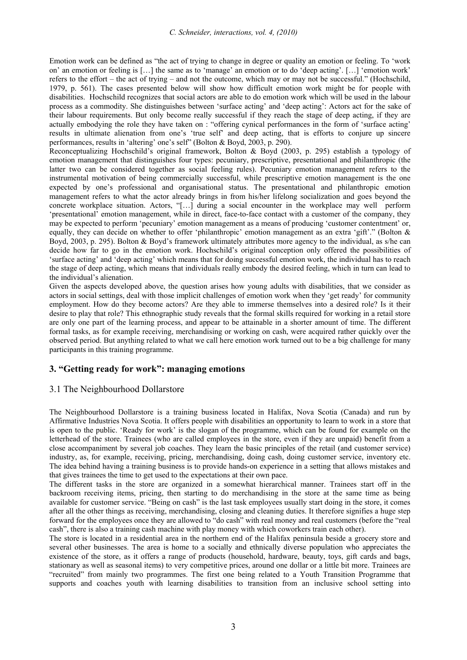Emotion work can be defined as "the act of trying to change in degree or quality an emotion or feeling. To 'work on' an emotion or feeling is […] the same as to 'manage' an emotion or to do 'deep acting'. […] 'emotion work' refers to the effort – the act of trying – and not the outcome, which may or may not be successful." (Hochschild, 1979, p. 561). The cases presented below will show how difficult emotion work might be for people with disabilities. Hochschild recognizes that social actors are able to do emotion work which will be used in the labour process as a commodity. She distinguishes between 'surface acting' and 'deep acting': Actors act for the sake of their labour requirements. But only become really successful if they reach the stage of deep acting, if they are actually embodying the role they have taken on : "offering cynical performances in the form of 'surface acting' results in ultimate alienation from one's 'true self' and deep acting, that is efforts to conjure up sincere performances, results in 'altering' one's self" (Bolton & Boyd, 2003, p. 290).

Reconceptualizing Hochschild's original framework, Bolton & Boyd (2003, p. 295) establish a typology of emotion management that distinguishes four types: pecuniary, prescriptive, presentational and philanthropic (the latter two can be considered together as social feeling rules). Pecuniary emotion management refers to the instrumental motivation of being commercially successful, while prescriptive emotion management is the one expected by one's professional and organisational status. The presentational and philanthropic emotion management refers to what the actor already brings in from his/her lifelong socialization and goes beyond the concrete workplace situation. Actors, "[…] during a social encounter in the workplace may well perform 'presentational' emotion management, while in direct, face-to-face contact with a customer of the company, they may be expected to perform 'pecuniary' emotion management as a means of producing 'customer contentment' or, equally, they can decide on whether to offer 'philanthropic' emotion management as an extra 'gift'." (Bolton & Boyd, 2003, p. 295). Bolton & Boyd's framework ultimately attributes more agency to the individual, as s/he can decide how far to go in the emotion work. Hochschild's original conception only offered the possibilities of 'surface acting' and 'deep acting' which means that for doing successful emotion work, the individual has to reach the stage of deep acting, which means that individuals really embody the desired feeling, which in turn can lead to the individual's alienation.

Given the aspects developed above, the question arises how young adults with disabilities, that we consider as actors in social settings, deal with those implicit challenges of emotion work when they 'get ready' for community employment. How do they become actors? Are they able to immerse themselves into a desired role? Is it their desire to play that role? This ethnographic study reveals that the formal skills required for working in a retail store are only one part of the learning process, and appear to be attainable in a shorter amount of time. The different formal tasks, as for example receiving, merchandising or working on cash, were acquired rather quickly over the observed period. But anything related to what we call here emotion work turned out to be a big challenge for many participants in this training programme.

# **3. "Getting ready for work": managing emotions**

# 3.1 The Neighbourhood Dollarstore

The Neighbourhood Dollarstore is a training business located in Halifax, Nova Scotia (Canada) and run by Affirmative Industries Nova Scotia. It offers people with disabilities an opportunity to learn to work in a store that is open to the public. 'Ready for work' is the slogan of the programme, which can be found for example on the letterhead of the store. Trainees (who are called employees in the store, even if they are unpaid) benefit from a close accompaniment by several job coaches. They learn the basic principles of the retail (and customer service) industry, as, for example, receiving, pricing, merchandising, doing cash, doing customer service, inventory etc. The idea behind having a training business is to provide hands-on experience in a setting that allows mistakes and that gives trainees the time to get used to the expectations at their own pace.

The different tasks in the store are organized in a somewhat hierarchical manner. Trainees start off in the backroom receiving items, pricing, then starting to do merchandising in the store at the same time as being available for customer service. "Being on cash" is the last task employees usually start doing in the store, it comes after all the other things as receiving, merchandising, closing and cleaning duties. It therefore signifies a huge step forward for the employees once they are allowed to "do cash" with real money and real customers (before the "real cash", there is also a training cash machine with play money with which coworkers train each other).

The store is located in a residential area in the northern end of the Halifax peninsula beside a grocery store and several other businesses. The area is home to a socially and ethnically diverse population who appreciates the existence of the store, as it offers a range of products (household, hardware, beauty, toys, gift cards and bags, stationary as well as seasonal items) to very competitive prices, around one dollar or a little bit more. Trainees are "recruited" from mainly two programmes. The first one being related to a Youth Transition Programme that supports and coaches youth with learning disabilities to transition from an inclusive school setting into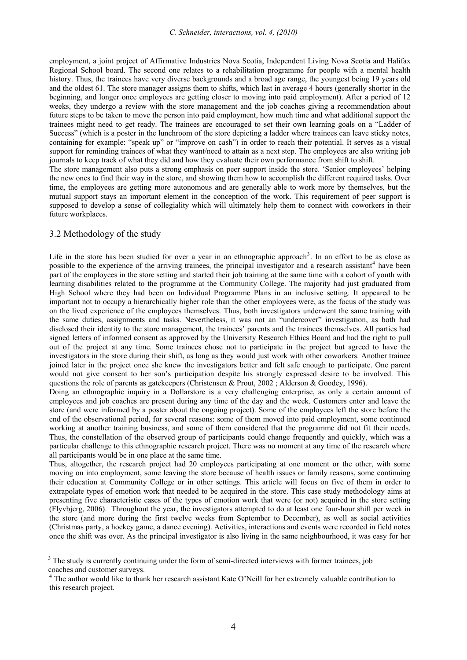employment, a joint project of Affirmative Industries Nova Scotia, Independent Living Nova Scotia and Halifax Regional School board. The second one relates to a rehabilitation programme for people with a mental health history. Thus, the trainees have very diverse backgrounds and a broad age range, the youngest being 19 years old and the oldest 61. The store manager assigns them to shifts, which last in average 4 hours (generally shorter in the beginning, and longer once employees are getting closer to moving into paid employment). After a period of 12 weeks, they undergo a review with the store management and the job coaches giving a recommendation about future steps to be taken to move the person into paid employment, how much time and what additional support the trainees might need to get ready. The trainees are encouraged to set their own learning goals on a "Ladder of Success" (which is a poster in the lunchroom of the store depicting a ladder where trainees can leave sticky notes, containing for example: "speak up" or "improve on cash") in order to reach their potential. It serves as a visual support for reminding trainees of what they want/need to attain as a next step. The employees are also writing job journals to keep track of what they did and how they evaluate their own performance from shift to shift.

The store management also puts a strong emphasis on peer support inside the store. 'Senior employees' helping the new ones to find their way in the store, and showing them how to accomplish the different required tasks. Over time, the employees are getting more autonomous and are generally able to work more by themselves, but the mutual support stays an important element in the conception of the work. This requirement of peer support is supposed to develop a sense of collegiality which will ultimately help them to connect with coworkers in their future workplaces.

# 3.2 Methodology of the study

Life in the store has been studied for over a year in an ethnographic approach<sup>[3](#page-3-0)</sup>. In an effort to be as close as possible to the experience of the arriving trainees, the principal investigator and a research assistant<sup>[4](#page-3-1)</sup> have been part of the employees in the store setting and started their job training at the same time with a cohort of youth with learning disabilities related to the programme at the Community College. The majority had just graduated from High School where they had been on Individual Programme Plans in an inclusive setting. It appeared to be important not to occupy a hierarchically higher role than the other employees were, as the focus of the study was on the lived experience of the employees themselves. Thus, both investigators underwent the same training with the same duties, assignments and tasks. Nevertheless, it was not an "undercover" investigation, as both had disclosed their identity to the store management, the trainees' parents and the trainees themselves. All parties had signed letters of informed consent as approved by the University Research Ethics Board and had the right to pull out of the project at any time. Some trainees chose not to participate in the project but agreed to have the investigators in the store during their shift, as long as they would just work with other coworkers. Another trainee joined later in the project once she knew the investigators better and felt safe enough to participate. One parent would not give consent to her son's participation despite his strongly expressed desire to be involved. This questions the role of parents as gatekeepers (Christensen & Prout, 2002 ; Alderson & Goodey, 1996).

Doing an ethnographic inquiry in a Dollarstore is a very challenging enterprise, as only a certain amount of employees and job coaches are present during any time of the day and the week. Customers enter and leave the store (and were informed by a poster about the ongoing project). Some of the employees left the store before the end of the observational period, for several reasons: some of them moved into paid employment, some continued working at another training business, and some of them considered that the programme did not fit their needs. Thus, the constellation of the observed group of participants could change frequently and quickly, which was a particular challenge to this ethnographic research project. There was no moment at any time of the research where all participants would be in one place at the same time.

Thus, altogether, the research project had 20 employees participating at one moment or the other, with some moving on into employment, some leaving the store because of health issues or family reasons, some continuing their education at Community College or in other settings. This article will focus on five of them in order to extrapolate types of emotion work that needed to be acquired in the store. This case study methodology aims at presenting five characteristic cases of the types of emotion work that were (or not) acquired in the store setting (Flyvbjerg, 2006). Throughout the year, the investigators attempted to do at least one four-hour shift per week in the store (and more during the first twelve weeks from September to December), as well as social activities (Christmas party, a hockey game, a dance evening). Activities, interactions and events were recorded in field notes once the shift was over. As the principal investigator is also living in the same neighbourhood, it was easy for her

<span id="page-3-0"></span><sup>&</sup>lt;sup>3</sup> The study is currently continuing under the form of semi-directed interviews with former trainees, job coaches and customer surveys.

<span id="page-3-1"></span><sup>&</sup>lt;sup>4</sup> The author would like to thank her research assistant Kate O'Neill for her extremely valuable contribution to this research project.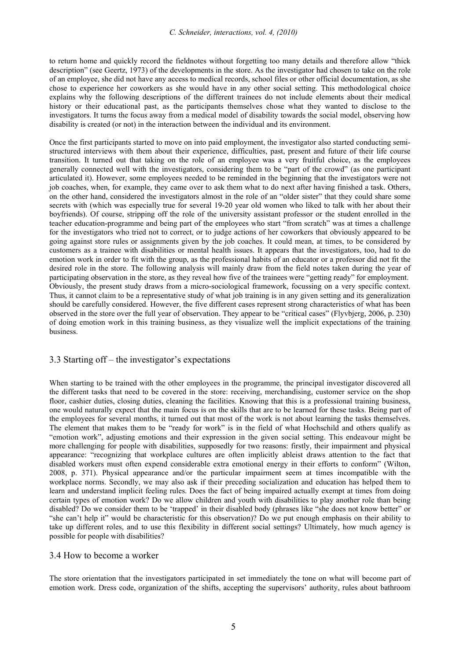to return home and quickly record the fieldnotes without forgetting too many details and therefore allow "thick description" (see Geertz, 1973) of the developments in the store. As the investigator had chosen to take on the role of an employee, she did not have any access to medical records, school files or other official documentation, as she chose to experience her coworkers as she would have in any other social setting. This methodological choice explains why the following descriptions of the different trainees do not include elements about their medical history or their educational past, as the participants themselves chose what they wanted to disclose to the investigators. It turns the focus away from a medical model of disability towards the social model, observing how disability is created (or not) in the interaction between the individual and its environment.

Once the first participants started to move on into paid employment, the investigator also started conducting semistructured interviews with them about their experience, difficulties, past, present and future of their life course transition. It turned out that taking on the role of an employee was a very fruitful choice, as the employees generally connected well with the investigators, considering them to be "part of the crowd" (as one participant articulated it). However, some employees needed to be reminded in the beginning that the investigators were not job coaches, when, for example, they came over to ask them what to do next after having finished a task. Others, on the other hand, considered the investigators almost in the role of an "older sister" that they could share some secrets with (which was especially true for several 19-20 year old women who liked to talk with her about their boyfriends). Of course, stripping off the role of the university assistant professor or the student enrolled in the teacher education-programme and being part of the employees who start "from scratch" was at times a challenge for the investigators who tried not to correct, or to judge actions of her coworkers that obviously appeared to be going against store rules or assignments given by the job coaches. It could mean, at times, to be considered by customers as a trainee with disabilities or mental health issues. It appears that the investigators, too, had to do emotion work in order to fit with the group, as the professional habits of an educator or a professor did not fit the desired role in the store. The following analysis will mainly draw from the field notes taken during the year of participating observation in the store, as they reveal how five of the trainees were "getting ready" for employment. Obviously, the present study draws from a micro-sociological framework, focussing on a very specific context. Thus, it cannot claim to be a representative study of what job training is in any given setting and its generalization should be carefully considered. However, the five different cases represent strong characteristics of what has been observed in the store over the full year of observation. They appear to be "critical cases" (Flyvbjerg, 2006, p. 230) of doing emotion work in this training business, as they visualize well the implicit expectations of the training business.

# 3.3 Starting off – the investigator's expectations

When starting to be trained with the other employees in the programme, the principal investigator discovered all the different tasks that need to be covered in the store: receiving, merchandising, customer service on the shop floor, cashier duties, closing duties, cleaning the facilities. Knowing that this is a professional training business, one would naturally expect that the main focus is on the skills that are to be learned for these tasks. Being part of the employees for several months, it turned out that most of the work is not about learning the tasks themselves. The element that makes them to be "ready for work" is in the field of what Hochschild and others qualify as "emotion work", adjusting emotions and their expression in the given social setting. This endeavour might be more challenging for people with disabilities, supposedly for two reasons: firstly, their impairment and physical appearance: "recognizing that workplace cultures are often implicitly ableist draws attention to the fact that disabled workers must often expend considerable extra emotional energy in their efforts to conform" (Wilton, 2008, p. 371). Physical appearance and/or the particular impairment seem at times incompatible with the workplace norms. Secondly, we may also ask if their preceding socialization and education has helped them to learn and understand implicit feeling rules. Does the fact of being impaired actually exempt at times from doing certain types of emotion work? Do we allow children and youth with disabilities to play another role than being disabled? Do we consider them to be 'trapped' in their disabled body (phrases like "she does not know better" or "she can't help it" would be characteristic for this observation)? Do we put enough emphasis on their ability to take up different roles, and to use this flexibility in different social settings? Ultimately, how much agency is possible for people with disabilities?

# 3.4 How to become a worker

The store orientation that the investigators participated in set immediately the tone on what will become part of emotion work. Dress code, organization of the shifts, accepting the supervisors' authority, rules about bathroom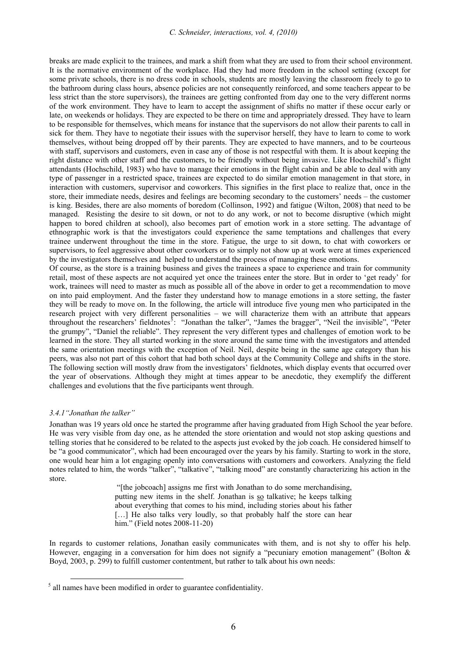breaks are made explicit to the trainees, and mark a shift from what they are used to from their school environment. It is the normative environment of the workplace. Had they had more freedom in the school setting (except for some private schools, there is no dress code in schools, students are mostly leaving the classroom freely to go to the bathroom during class hours, absence policies are not consequently reinforced, and some teachers appear to be less strict than the store supervisors), the trainees are getting confronted from day one to the very different norms of the work environment. They have to learn to accept the assignment of shifts no matter if these occur early or late, on weekends or holidays. They are expected to be there on time and appropriately dressed. They have to learn to be responsible for themselves, which means for instance that the supervisors do not allow their parents to call in sick for them. They have to negotiate their issues with the supervisor herself, they have to learn to come to work themselves, without being dropped off by their parents. They are expected to have manners, and to be courteous with staff, supervisors and customers, even in case any of those is not respectful with them. It is about keeping the right distance with other staff and the customers, to be friendly without being invasive. Like Hochschild's flight attendants (Hochschild, 1983) who have to manage their emotions in the flight cabin and be able to deal with any type of passenger in a restricted space, trainees are expected to do similar emotion management in that store, in interaction with customers, supervisor and coworkers. This signifies in the first place to realize that, once in the store, their immediate needs, desires and feelings are becoming secondary to the customers' needs – the customer is king. Besides, there are also moments of boredom (Collinson, 1992) and fatigue (Wilton, 2008) that need to be managed. Resisting the desire to sit down, or not to do any work, or not to become disruptive (which might happen to bored children at school), also becomes part of emotion work in a store setting. The advantage of ethnographic work is that the investigators could experience the same temptations and challenges that every trainee underwent throughout the time in the store. Fatigue, the urge to sit down, to chat with coworkers or supervisors, to feel aggressive about other coworkers or to simply not show up at work were at times experienced by the investigators themselves and helped to understand the process of managing these emotions.

Of course, as the store is a training business and gives the trainees a space to experience and train for community retail, most of these aspects are not acquired yet once the trainees enter the store. But in order to 'get ready' for work, trainees will need to master as much as possible all of the above in order to get a recommendation to move on into paid employment. And the faster they understand how to manage emotions in a store setting, the faster they will be ready to move on. In the following, the article will introduce five young men who participated in the research project with very different personalities – we will characterize them with an attribute that appears throughout the researchers' fieldnotes<sup>3</sup>: "Jonathan the talker", "James the bragger", "Neil the invisible", "Peter the grumpy", "Daniel the reliable". They represent the very different types and challenges of emotion work to be learned in the store. They all started working in the store around the same time with the investigators and attended the same orientation meetings with the exception of Neil. Neil, despite being in the same age category than his peers, was also not part of this cohort that had both school days at the Community College and shifts in the store. The following section will mostly draw from the investigators' fieldnotes, which display events that occurred over the year of observations. Although they might at times appear to be anecdotic, they exemplify the different challenges and evolutions that the five participants went through.

## *3.4.1"Jonathan the talker"*

Jonathan was 19 years old once he started the programme after having graduated from High School the year before. He was very visible from day one, as he attended the store orientation and would not stop asking questions and telling stories that he considered to be related to the aspects just evoked by the job coach. He considered himself to be "a good communicator", which had been encouraged over the years by his family. Starting to work in the store, one would hear him a lot engaging openly into conversations with customers and coworkers. Analyzing the field notes related to him, the words "talker", "talkative", "talking mood" are constantly characterizing his action in the store.

> "[the jobcoach] assigns me first with Jonathan to do some merchandising, putting new items in the shelf. Jonathan is so talkative; he keeps talking about everything that comes to his mind, including stories about his father [...] He also talks very loudly, so that probably half the store can hear him." (Field notes 2008-11-20)

In regards to customer relations, Jonathan easily communicates with them, and is not shy to offer his help. However, engaging in a conversation for him does not signify a "pecuniary emotion management" (Bolton & Boyd, 2003, p. 299) to fulfill customer contentment, but rather to talk about his own needs:

<span id="page-5-0"></span> <sup>5</sup> all names have been modified in order to guarantee confidentiality.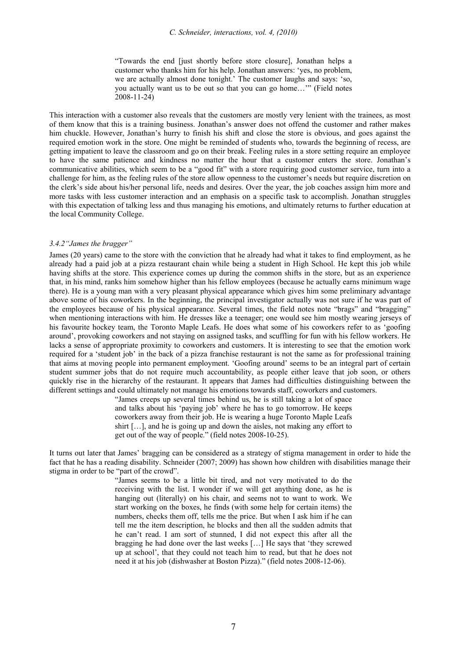"Towards the end [just shortly before store closure], Jonathan helps a customer who thanks him for his help. Jonathan answers: 'yes, no problem, we are actually almost done tonight.' The customer laughs and says: 'so, you actually want us to be out so that you can go home…'" (Field notes 2008-11-24)

This interaction with a customer also reveals that the customers are mostly very lenient with the trainees, as most of them know that this is a training business. Jonathan's answer does not offend the customer and rather makes him chuckle. However, Jonathan's hurry to finish his shift and close the store is obvious, and goes against the required emotion work in the store. One might be reminded of students who, towards the beginning of recess, are getting impatient to leave the classroom and go on their break. Feeling rules in a store setting require an employee to have the same patience and kindness no matter the hour that a customer enters the store. Jonathan's communicative abilities, which seem to be a "good fit" with a store requiring good customer service, turn into a challenge for him, as the feeling rules of the store allow openness to the customer's needs but require discretion on the clerk's side about his/her personal life, needs and desires. Over the year, the job coaches assign him more and more tasks with less customer interaction and an emphasis on a specific task to accomplish. Jonathan struggles with this expectation of talking less and thus managing his emotions, and ultimately returns to further education at the local Community College.

### *3.4.2"James the bragger"*

James (20 years) came to the store with the conviction that he already had what it takes to find employment, as he already had a paid job at a pizza restaurant chain while being a student in High School. He kept this job while having shifts at the store. This experience comes up during the common shifts in the store, but as an experience that, in his mind, ranks him somehow higher than his fellow employees (because he actually earns minimum wage there). He is a young man with a very pleasant physical appearance which gives him some preliminary advantage above some of his coworkers. In the beginning, the principal investigator actually was not sure if he was part of the employees because of his physical appearance. Several times, the field notes note "brags" and "bragging" when mentioning interactions with him. He dresses like a teenager; one would see him mostly wearing jerseys of his favourite hockey team, the Toronto Maple Leafs. He does what some of his coworkers refer to as 'goofing around', provoking coworkers and not staying on assigned tasks, and scuffling for fun with his fellow workers. He lacks a sense of appropriate proximity to coworkers and customers. It is interesting to see that the emotion work required for a 'student job' in the back of a pizza franchise restaurant is not the same as for professional training that aims at moving people into permanent employment. 'Goofing around' seems to be an integral part of certain student summer jobs that do not require much accountability, as people either leave that job soon, or others quickly rise in the hierarchy of the restaurant. It appears that James had difficulties distinguishing between the different settings and could ultimately not manage his emotions towards staff, coworkers and customers.

"James creeps up several times behind us, he is still taking a lot of space and talks about his 'paying job' where he has to go tomorrow. He keeps coworkers away from their job. He is wearing a huge Toronto Maple Leafs shirt […], and he is going up and down the aisles, not making any effort to get out of the way of people." (field notes 2008-10-25).

It turns out later that James' bragging can be considered as a strategy of stigma management in order to hide the fact that he has a reading disability. Schneider (2007; 2009) has shown how children with disabilities manage their stigma in order to be "part of the crowd".

> "James seems to be a little bit tired, and not very motivated to do the receiving with the list. I wonder if we will get anything done, as he is hanging out (literally) on his chair, and seems not to want to work. We start working on the boxes, he finds (with some help for certain items) the numbers, checks them off, tells me the price. But when I ask him if he can tell me the item description, he blocks and then all the sudden admits that he can't read. I am sort of stunned, I did not expect this after all the bragging he had done over the last weeks […] He says that 'they screwed up at school', that they could not teach him to read, but that he does not need it at his job (dishwasher at Boston Pizza)." (field notes 2008-12-06).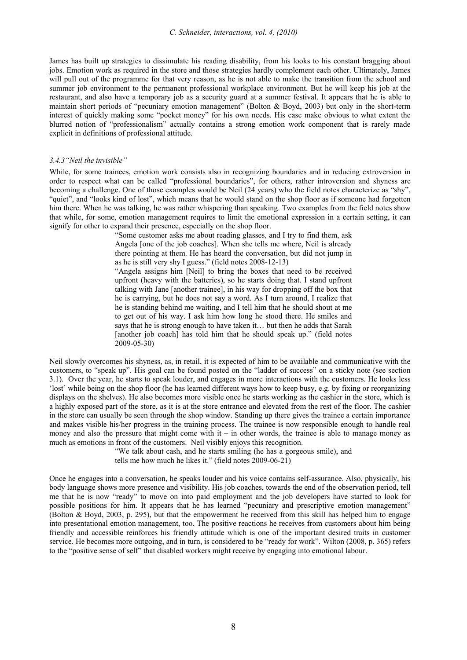James has built up strategies to dissimulate his reading disability, from his looks to his constant bragging about jobs. Emotion work as required in the store and those strategies hardly complement each other. Ultimately, James will pull out of the programme for that very reason, as he is not able to make the transition from the school and summer job environment to the permanent professional workplace environment. But he will keep his job at the restaurant, and also have a temporary job as a security guard at a summer festival. It appears that he is able to maintain short periods of "pecuniary emotion management" (Bolton & Boyd, 2003) but only in the short-term interest of quickly making some "pocket money" for his own needs. His case make obvious to what extent the blurred notion of "professionalism" actually contains a strong emotion work component that is rarely made explicit in definitions of professional attitude.

#### *3.4.3"Neil the invisible"*

While, for some trainees, emotion work consists also in recognizing boundaries and in reducing extroversion in order to respect what can be called "professional boundaries", for others, rather introversion and shyness are becoming a challenge. One of those examples would be Neil (24 years) who the field notes characterize as "shy", "quiet", and "looks kind of lost", which means that he would stand on the shop floor as if someone had forgotten him there. When he was talking, he was rather whispering than speaking. Two examples from the field notes show that while, for some, emotion management requires to limit the emotional expression in a certain setting, it can signify for other to expand their presence, especially on the shop floor.

> "Some customer asks me about reading glasses, and I try to find them, ask Angela [one of the job coaches]. When she tells me where, Neil is already there pointing at them. He has heard the conversation, but did not jump in as he is still very shy I guess." (field notes 2008-12-13)

> "Angela assigns him [Neil] to bring the boxes that need to be received upfront (heavy with the batteries), so he starts doing that. I stand upfront talking with Jane [another trainee], in his way for dropping off the box that he is carrying, but he does not say a word. As I turn around, I realize that he is standing behind me waiting, and I tell him that he should shout at me to get out of his way. I ask him how long he stood there. He smiles and says that he is strong enough to have taken it… but then he adds that Sarah [another job coach] has told him that he should speak up." (field notes 2009-05-30)

Neil slowly overcomes his shyness, as, in retail, it is expected of him to be available and communicative with the customers, to "speak up". His goal can be found posted on the "ladder of success" on a sticky note (see section 3.1). Over the year, he starts to speak louder, and engages in more interactions with the customers. He looks less 'lost' while being on the shop floor (he has learned different ways how to keep busy, e.g. by fixing or reorganizing displays on the shelves). He also becomes more visible once he starts working as the cashier in the store, which is a highly exposed part of the store, as it is at the store entrance and elevated from the rest of the floor. The cashier in the store can usually be seen through the shop window. Standing up there gives the trainee a certain importance and makes visible his/her progress in the training process. The trainee is now responsible enough to handle real money and also the pressure that might come with it – in other words, the trainee is able to manage money as much as emotions in front of the customers. Neil visibly enjoys this recognition.

> "We talk about cash, and he starts smiling (he has a gorgeous smile), and tells me how much he likes it." (field notes 2009-06-21)

Once he engages into a conversation, he speaks louder and his voice contains self-assurance. Also, physically, his body language shows more presence and visibility. His job coaches, towards the end of the observation period, tell me that he is now "ready" to move on into paid employment and the job developers have started to look for possible positions for him. It appears that he has learned "pecuniary and prescriptive emotion management" (Bolton & Boyd, 2003, p. 295), but that the empowerment he received from this skill has helped him to engage into presentational emotion management, too. The positive reactions he receives from customers about him being friendly and accessible reinforces his friendly attitude which is one of the important desired traits in customer service. He becomes more outgoing, and in turn, is considered to be "ready for work". Wilton (2008, p. 365) refers to the "positive sense of self" that disabled workers might receive by engaging into emotional labour.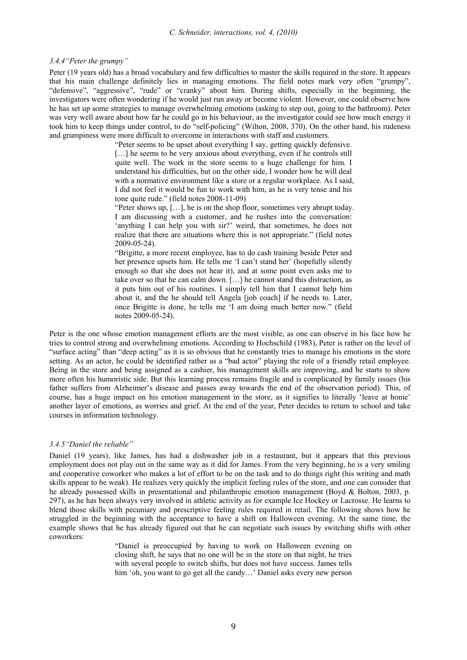*3.4.4"Peter the grumpy"* 

Peter (19 years old) has a broad vocabulary and few difficulties to master the skills required in the store. It appears that his main challenge definitely lies in managing emotions. The field notes mark very often "grumpy", "defensive", "aggressive", "rude" or "cranky" about him. During shifts, especially in the beginning, the investigators were often wondering if he would just run away or become violent. However, one could observe how he has set up some strategies to manage overwhelming emotions (asking to step out, going to the bathroom). Peter was very well aware about how far he could go in his behaviour, as the investigator could see how much energy it took him to keep things under control, to do "self-policing" (Wilton, 2008, 370). On the other hand, his rudeness and grumpiness were more difficult to overcome in interactions with staff and customers.

"Peter seems to be upset about everything I say, getting quickly defensive. [...] he seems to be very anxious about everything, even if he controls still quite well. The work in the store seems to a huge challenge for him. I understand his difficulties, but on the other side, I wonder how he will deal with a normative environment like a store or a regular workplace. As I said, I did not feel it would be fun to work with him, as he is very tense and his tone quite rude." (field notes 2008-11-09)

"Peter shows up, […], he is on the shop floor, sometimes very abrupt today. I am discussing with a customer, and he rushes into the conversation: 'anything I can help you with sir?' weird, that sometimes, he does not realize that there are situations where this is not appropriate." (field notes 2009-05-24).

"Brigitte, a more recent employee, has to do cash training beside Peter and her presence upsets him. He tells me 'I can't stand her' (hopefully silently enough so that she does not hear it), and at some point even asks me to take over so that he can calm down. […] he cannot stand this distraction, as it puts him out of his routines. I simply tell him that I cannot help him about it, and the he should tell Angela [job coach] if he needs to. Later, once Brigitte is done, he tells me 'I am doing much better now." (field notes 2009-05-24).

Peter is the one whose emotion management efforts are the most visible, as one can observe in his face how he tries to control strong and overwhelming emotions. According to Hochschild (1983), Peter is rather on the level of "surface acting" than "deep acting" as it is so obvious that he constantly tries to manage his emotions in the store setting. As an actor, he could be identified rather as a "bad actor" playing the role of a friendly retail employee. Being in the store and being assigned as a cashier, his management skills are improving, and he starts to show more often his humoristic side. But this learning process remains fragile and is complicated by family issues (his father suffers from Alzheimer's disease and passes away towards the end of the observation period). This, of course, has a huge impact on his emotion management in the store, as it signifies to literally 'leave at home' another layer of emotions, as worries and grief. At the end of the year, Peter decides to return to school and take courses in information technology.

## *3.4.5"Daniel the reliable"*

Daniel (19 years), like James, has had a dishwasher job in a restaurant, but it appears that this previous employment does not play out in the same way as it did for James. From the very beginning, he is a very smiling and cooperative coworker who makes a lot of effort to be on the task and to do things right (his writing and math skills appear to be weak). He realizes very quickly the implicit feeling rules of the store, and one can consider that he already possessed skills in presentational and philanthropic emotion management (Boyd & Bolton, 2003, p. 297), as he has been always very involved in athletic activity as for example Ice Hockey or Lacrosse. He learns to blend those skills with pecuniary and prescriptive feeling rules required in retail. The following shows how he struggled in the beginning with the acceptance to have a shift on Halloween evening. At the same time, the example shows that he has already figured out that he can negotiate such issues by switching shifts with other coworkers:

> "Daniel is preoccupied by having to work on Halloween evening on closing shift, he says that no one will be in the store on that night, he tries with several people to switch shifts, but does not have success. James tells him 'oh, you want to go get all the candy...' Daniel asks every new person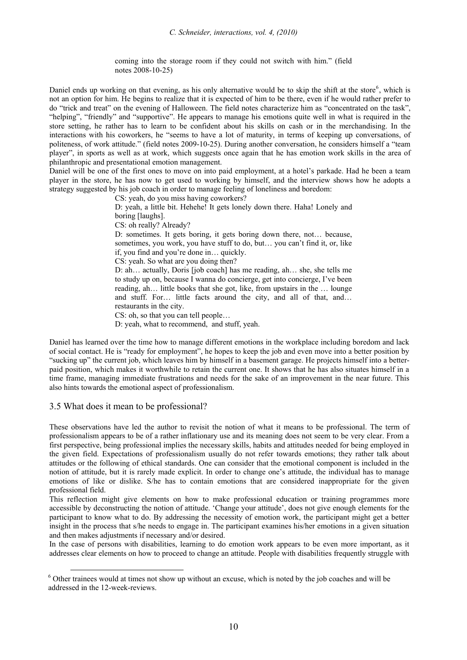coming into the storage room if they could not switch with him." (field notes 2008-10-25)

Daniel ends up working on that evening, as his only alternative would be to skip the shift at the store<sup>[6](#page-9-0)</sup>, which is not an option for him. He begins to realize that it is expected of him to be there, even if he would rather prefer to do "trick and treat" on the evening of Halloween. The field notes characterize him as "concentrated on the task", "helping", "friendly" and "supportive". He appears to manage his emotions quite well in what is required in the store setting, he rather has to learn to be confident about his skills on cash or in the merchandising. In the interactions with his coworkers, he "seems to have a lot of maturity, in terms of keeping up conversations, of politeness, of work attitude." (field notes 2009-10-25). During another conversation, he considers himself a "team player", in sports as well as at work, which suggests once again that he has emotion work skills in the area of philanthropic and presentational emotion management.

Daniel will be one of the first ones to move on into paid employment, at a hotel's parkade. Had he been a team player in the store, he has now to get used to working by himself, and the interview shows how he adopts a strategy suggested by his job coach in order to manage feeling of loneliness and boredom:

CS: yeah, do you miss having coworkers?

D: yeah, a little bit. Hehehe! It gets lonely down there. Haha! Lonely and boring [laughs].

CS: oh really? Already?

D: sometimes. It gets boring, it gets boring down there, not… because, sometimes, you work, you have stuff to do, but… you can't find it, or, like if, you find and you're done in… quickly.

CS: yeah. So what are you doing then?

D: ah… actually, Doris [job coach] has me reading, ah… she, she tells me to study up on, because I wanna do concierge, get into concierge, I've been reading, ah… little books that she got, like, from upstairs in the … lounge and stuff. For… little facts around the city, and all of that, and… restaurants in the city.

CS: oh, so that you can tell people…

D: yeah, what to recommend, and stuff, yeah.

Daniel has learned over the time how to manage different emotions in the workplace including boredom and lack of social contact. He is "ready for employment", he hopes to keep the job and even move into a better position by "sucking up" the current job, which leaves him by himself in a basement garage. He projects himself into a betterpaid position, which makes it worthwhile to retain the current one. It shows that he has also situates himself in a time frame, managing immediate frustrations and needs for the sake of an improvement in the near future. This also hints towards the emotional aspect of professionalism.

# 3.5 What does it mean to be professional?

These observations have led the author to revisit the notion of what it means to be professional. The term of professionalism appears to be of a rather inflationary use and its meaning does not seem to be very clear. From a first perspective, being professional implies the necessary skills, habits and attitudes needed for being employed in the given field. Expectations of professionalism usually do not refer towards emotions; they rather talk about attitudes or the following of ethical standards. One can consider that the emotional component is included in the notion of attitude, but it is rarely made explicit. In order to change one's attitude, the individual has to manage emotions of like or dislike. S/he has to contain emotions that are considered inappropriate for the given professional field.

This reflection might give elements on how to make professional education or training programmes more accessible by deconstructing the notion of attitude. 'Change your attitude', does not give enough elements for the participant to know what to do. By addressing the necessity of emotion work, the participant might get a better insight in the process that s/he needs to engage in. The participant examines his/her emotions in a given situation and then makes adjustments if necessary and/or desired.

In the case of persons with disabilities, learning to do emotion work appears to be even more important, as it addresses clear elements on how to proceed to change an attitude. People with disabilities frequently struggle with

<span id="page-9-0"></span><sup>&</sup>lt;sup>6</sup> Other trainees would at times not show up without an excuse, which is noted by the job coaches and will be addressed in the 12-week-reviews.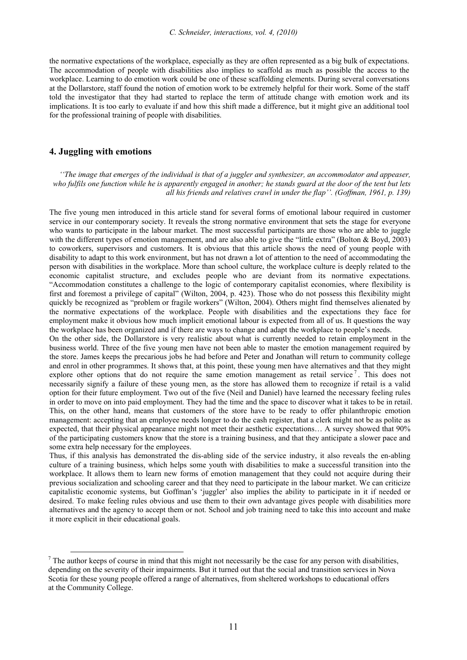the normative expectations of the workplace, especially as they are often represented as a big bulk of expectations. The accommodation of people with disabilities also implies to scaffold as much as possible the access to the workplace. Learning to do emotion work could be one of these scaffolding elements. During several conversations at the Dollarstore, staff found the notion of emotion work to be extremely helpful for their work. Some of the staff told the investigator that they had started to replace the term of attitude change with emotion work and its implications. It is too early to evaluate if and how this shift made a difference, but it might give an additional tool for the professional training of people with disabilities.

# **4. Juggling with emotions**

*''The image that emerges of the individual is that of a juggler and synthesizer, an accommodator and appeaser, who fulfils one function while he is apparently engaged in another; he stands guard at the door of the tent but lets all his friends and relatives crawl in under the flap''. (Goffman, 1961, p. 139)* 

The five young men introduced in this article stand for several forms of emotional labour required in customer service in our contemporary society. It reveals the strong normative environment that sets the stage for everyone who wants to participate in the labour market. The most successful participants are those who are able to juggle with the different types of emotion management, and are also able to give the "little extra" (Bolton & Boyd, 2003) to coworkers, supervisors and customers. It is obvious that this article shows the need of young people with disability to adapt to this work environment, but has not drawn a lot of attention to the need of accommodating the person with disabilities in the workplace. More than school culture, the workplace culture is deeply related to the economic capitalist structure, and excludes people who are deviant from its normative expectations. "Accommodation constitutes a challenge to the logic of contemporary capitalist economies, where flexibility is first and foremost a privilege of capital" (Wilton, 2004, p. 423). Those who do not possess this flexibility might quickly be recognized as "problem or fragile workers" (Wilton, 2004). Others might find themselves alienated by the normative expectations of the workplace. People with disabilities and the expectations they face for employment make it obvious how much implicit emotional labour is expected from all of us. It questions the way the workplace has been organized and if there are ways to change and adapt the workplace to people's needs.

On the other side, the Dollarstore is very realistic about what is currently needed to retain employment in the business world. Three of the five young men have not been able to master the emotion management required by the store. James keeps the precarious jobs he had before and Peter and Jonathan will return to community college and enrol in other programmes. It shows that, at this point, these young men have alternatives and that they might explore other options that do not require the same emotion management as retail service<sup>[7](#page-10-0)</sup>. This does not necessarily signify a failure of these young men, as the store has allowed them to recognize if retail is a valid option for their future employment. Two out of the five (Neil and Daniel) have learned the necessary feeling rules in order to move on into paid employment. They had the time and the space to discover what it takes to be in retail. This, on the other hand, means that customers of the store have to be ready to offer philanthropic emotion management: accepting that an employee needs longer to do the cash register, that a clerk might not be as polite as expected, that their physical appearance might not meet their aesthetic expectations… A survey showed that 90% of the participating customers know that the store is a training business, and that they anticipate a slower pace and some extra help necessary for the employees.

Thus, if this analysis has demonstrated the dis-abling side of the service industry, it also reveals the en-abling culture of a training business, which helps some youth with disabilities to make a successful transition into the workplace. It allows them to learn new forms of emotion management that they could not acquire during their previous socialization and schooling career and that they need to participate in the labour market. We can criticize capitalistic economic systems, but Goffman's 'juggler' also implies the ability to participate in it if needed or desired. To make feeling rules obvious and use them to their own advantage gives people with disabilities more alternatives and the agency to accept them or not. School and job training need to take this into account and make it more explicit in their educational goals.

<span id="page-10-0"></span><sup>&</sup>lt;sup>7</sup> The author keeps of course in mind that this might not necessarily be the case for any person with disabilities, depending on the severity of their impairments. But it turned out that the social and transition services in Nova Scotia for these young people offered a range of alternatives, from sheltered workshops to educational offers at the Community College.